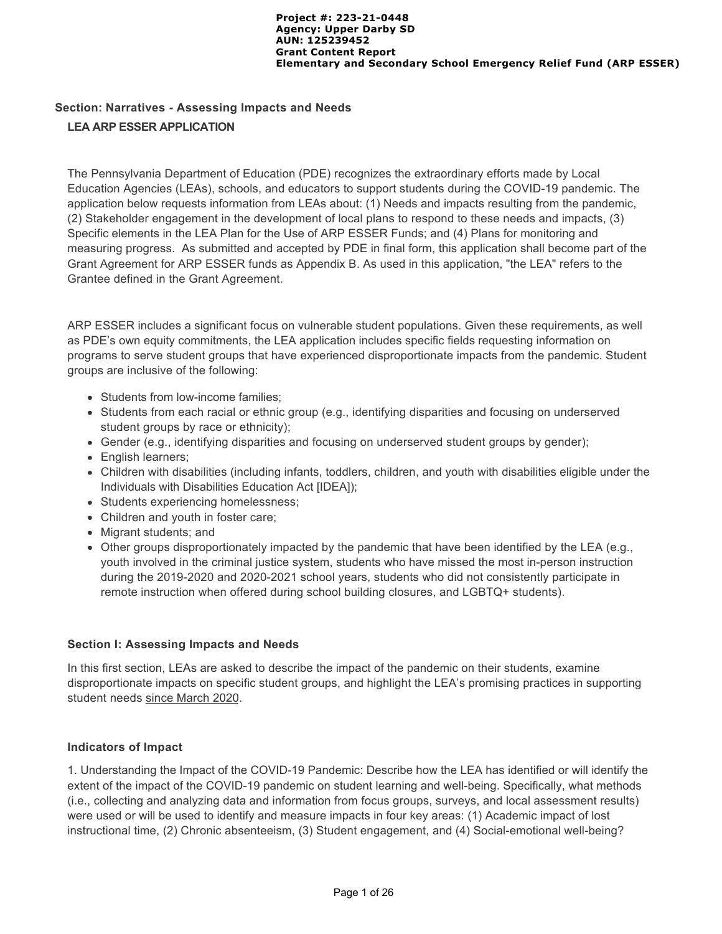# **Section: Narratives - Assessing Impacts and Needs LEA ARP ESSER APPLICATION**

The Pennsylvania Department of Education (PDE) recognizes the extraordinary efforts made by Local Education Agencies (LEAs), schools, and educators to support students during the COVID-19 pandemic. The application below requests information from LEAs about: (1) Needs and impacts resulting from the pandemic, (2) Stakeholder engagement in the development of local plans to respond to these needs and impacts, (3) Specific elements in the LEA Plan for the Use of ARP ESSER Funds; and (4) Plans for monitoring and measuring progress. As submitted and accepted by PDE in final form, this application shall become part of the Grant Agreement for ARP ESSER funds as Appendix B. As used in this application, "the LEA" refers to the Grantee defined in the Grant Agreement.

ARP ESSER includes a significant focus on vulnerable student populations. Given these requirements, as well as PDE's own equity commitments, the LEA application includes specific fields requesting information on programs to serve student groups that have experienced disproportionate impacts from the pandemic. Student groups are inclusive of the following:

- Students from low-income families;
- Students from each racial or ethnic group (e.g., identifying disparities and focusing on underserved student groups by race or ethnicity);
- Gender (e.g., identifying disparities and focusing on underserved student groups by gender);
- English learners;
- Children with disabilities (including infants, toddlers, children, and youth with disabilities eligible under the Individuals with Disabilities Education Act [IDEA]);
- Students experiencing homelessness;
- Children and youth in foster care;
- Migrant students; and
- $\bullet$  Other groups disproportionately impacted by the pandemic that have been identified by the LEA (e.g., youth involved in the criminal justice system, students who have missed the most in-person instruction during the 2019-2020 and 2020-2021 school years, students who did not consistently participate in remote instruction when offered during school building closures, and LGBTQ+ students).

#### **Section I: Assessing Impacts and Needs**

In this first section, LEAs are asked to describe the impact of the pandemic on their students, examine disproportionate impacts on specific student groups, and highlight the LEA's promising practices in supporting student needs since March 2020.

#### **Indicators of Impact**

1. Understanding the Impact of the COVID-19 Pandemic: Describe how the LEA has identified or will identify the extent of the impact of the COVID-19 pandemic on student learning and well-being. Specifically, what methods (i.e., collecting and analyzing data and information from focus groups, surveys, and local assessment results) were used or will be used to identify and measure impacts in four key areas: (1) Academic impact of lost instructional time, (2) Chronic absenteeism, (3) Student engagement, and (4) Social-emotional well-being?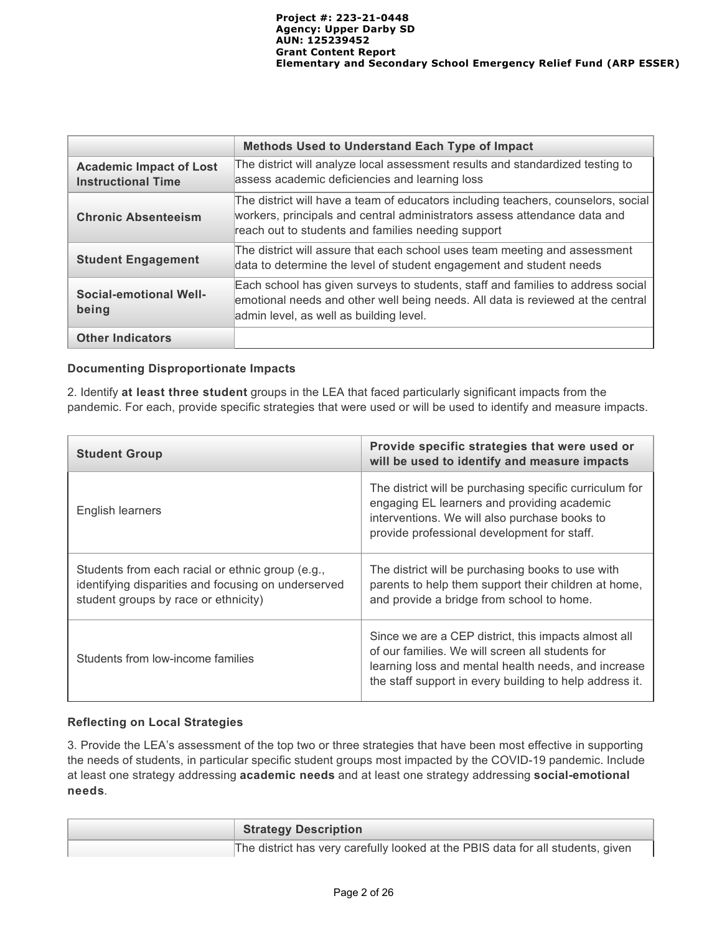|                                                             | <b>Methods Used to Understand Each Type of Impact</b>                                                                                                                                                                |  |  |
|-------------------------------------------------------------|----------------------------------------------------------------------------------------------------------------------------------------------------------------------------------------------------------------------|--|--|
| <b>Academic Impact of Lost</b><br><b>Instructional Time</b> | The district will analyze local assessment results and standardized testing to<br>assess academic deficiencies and learning loss                                                                                     |  |  |
| <b>Chronic Absenteeism</b>                                  | The district will have a team of educators including teachers, counselors, social<br>workers, principals and central administrators assess attendance data and<br>reach out to students and families needing support |  |  |
| <b>Student Engagement</b>                                   | The district will assure that each school uses team meeting and assessment<br>data to determine the level of student engagement and student needs                                                                    |  |  |
| Social-emotional Well-<br>being                             | Each school has given surveys to students, staff and families to address social<br>emotional needs and other well being needs. All data is reviewed at the central<br>admin level, as well as building level.        |  |  |
| <b>Other Indicators</b>                                     |                                                                                                                                                                                                                      |  |  |

## **Documenting Disproportionate Impacts**

2. Identify **at least three student** groups in the LEA that faced particularly significant impacts from the pandemic. For each, provide specific strategies that were used or will be used to identify and measure impacts.

| <b>Student Group</b>                                                                                                                            | Provide specific strategies that were used or<br>will be used to identify and measure impacts                                                                                                                              |  |
|-------------------------------------------------------------------------------------------------------------------------------------------------|----------------------------------------------------------------------------------------------------------------------------------------------------------------------------------------------------------------------------|--|
| English learners                                                                                                                                | The district will be purchasing specific curriculum for<br>engaging EL learners and providing academic<br>interventions. We will also purchase books to<br>provide professional development for staff.                     |  |
| Students from each racial or ethnic group (e.g.,<br>identifying disparities and focusing on underserved<br>student groups by race or ethnicity) | The district will be purchasing books to use with<br>parents to help them support their children at home,<br>and provide a bridge from school to home.                                                                     |  |
| Students from low-income families                                                                                                               | Since we are a CEP district, this impacts almost all<br>of our families. We will screen all students for<br>learning loss and mental health needs, and increase<br>the staff support in every building to help address it. |  |

## **Reflecting on Local Strategies**

3. Provide the LEA's assessment of the top two or three strategies that have been most effective in supporting the needs of students, in particular specific student groups most impacted by the COVID-19 pandemic. Include at least one strategy addressing **academic needs** and at least one strategy addressing **social-emotional needs**.

| <b>Strategy Description</b>                                                     |
|---------------------------------------------------------------------------------|
| The district has very carefully looked at the PBIS data for all students, given |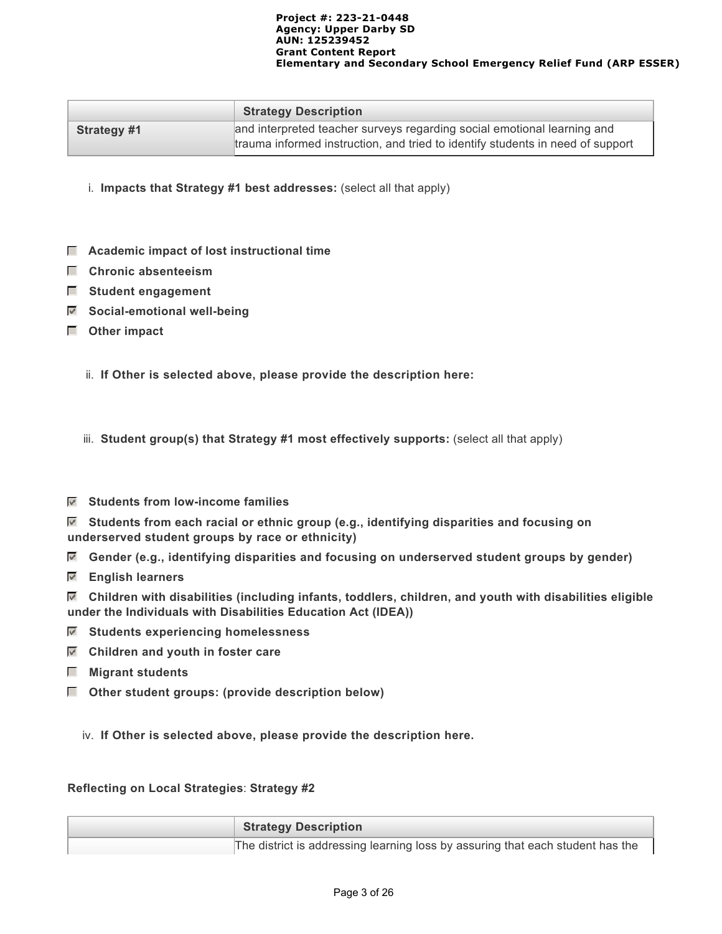|             | <b>Strategy Description</b>                                                    |
|-------------|--------------------------------------------------------------------------------|
| Strategy #1 | and interpreted teacher surveys regarding social emotional learning and        |
|             | trauma informed instruction, and tried to identify students in need of support |

i. **Impacts that Strategy #1 best addresses:** (select all that apply)

- **Academic impact of lost instructional time**
- **Chronic absenteeism**
- **Student engagement**
- **Social-emotional well-being**
- **Other impact**
	- ii. **If Other is selected above, please provide the description here:**

iii. **Student group(s) that Strategy #1 most effectively supports:** (select all that apply)

 **Students from low-income families**

 **Students from each racial or ethnic group (e.g., identifying disparities and focusing on underserved student groups by race or ethnicity)**

- **Gender (e.g., identifying disparities and focusing on underserved student groups by gender)**
- **English learners**
- **Children with disabilities (including infants, toddlers, children, and youth with disabilities eligible under the Individuals with Disabilities Education Act (IDEA))**
- **Students experiencing homelessness**
- **Children and youth in foster care**
- **Migrant students**
- **Other student groups: (provide description below)**

iv. **If Other is selected above, please provide the description here.**

### **Reflecting on Local Strategies**: **Strategy #2**

| Strategy Description                                                           |
|--------------------------------------------------------------------------------|
| The district is addressing learning loss by assuring that each student has the |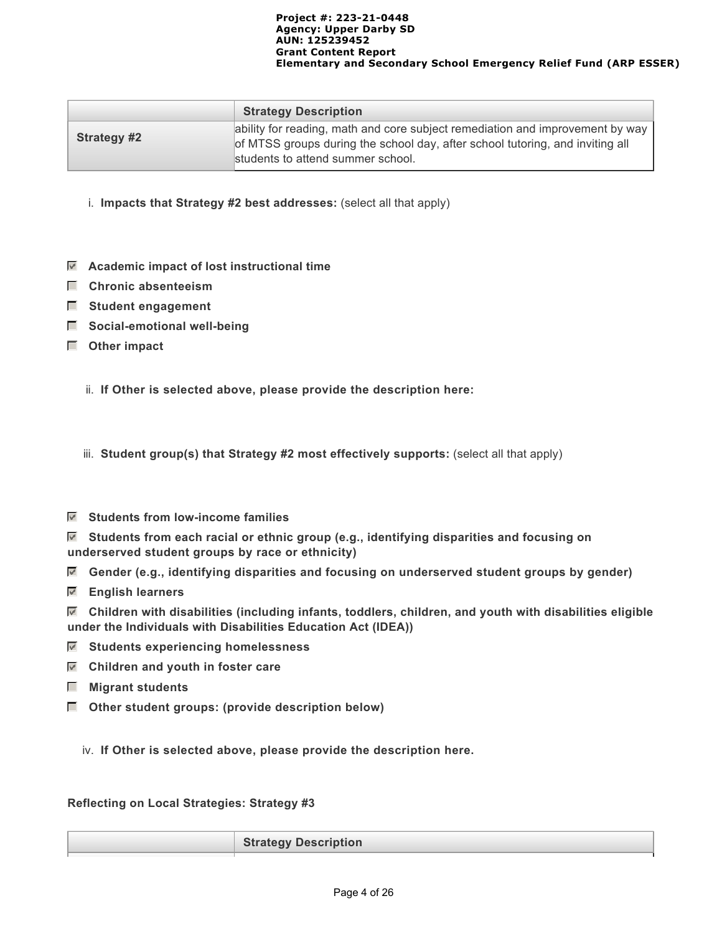|                    | <b>Strategy Description</b>                                                                                                                                                                         |
|--------------------|-----------------------------------------------------------------------------------------------------------------------------------------------------------------------------------------------------|
| <b>Strategy #2</b> | ability for reading, math and core subject remediation and improvement by way<br>of MTSS groups during the school day, after school tutoring, and inviting all<br>students to attend summer school. |

- i. **Impacts that Strategy #2 best addresses:** (select all that apply)
- **Academic impact of lost instructional time**
- **Chronic absenteeism**
- **Student engagement**
- **Social-emotional well-being**
- **Other impact**
	- ii. **If Other is selected above, please provide the description here:**

iii. **Student group(s) that Strategy #2 most effectively supports:** (select all that apply)

 **Students from low-income families**

 **Students from each racial or ethnic group (e.g., identifying disparities and focusing on underserved student groups by race or ethnicity)**

- **Gender (e.g., identifying disparities and focusing on underserved student groups by gender)**
- **English learners**

 **Children with disabilities (including infants, toddlers, children, and youth with disabilities eligible under the Individuals with Disabilities Education Act (IDEA))**

- **Students experiencing homelessness**
- **Children and youth in foster care**
- **Migrant students**
- **Other student groups: (provide description below)**

iv. **If Other is selected above, please provide the description here.**

**Reflecting on Local Strategies: Strategy #3**

**Strategy Description**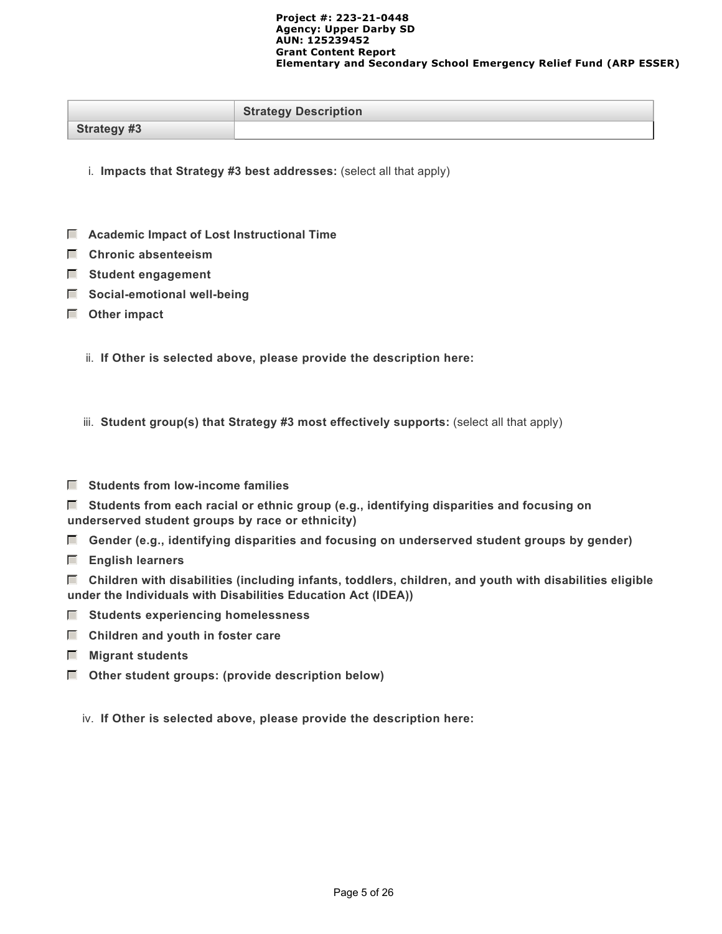|                    | <b>Strategy Description</b> |
|--------------------|-----------------------------|
| <b>Strategy #3</b> |                             |

i. **Impacts that Strategy #3 best addresses:** (select all that apply)

- **Academic Impact of Lost Instructional Time**
- **Chronic absenteeism**
- **Student engagement**
- $\Box$  Social-emotional well-being
- **Other impact**
	- ii. **If Other is selected above, please provide the description here:**

iii. **Student group(s) that Strategy #3 most effectively supports:** (select all that apply)

**F** Students from low-income families

 **Students from each racial or ethnic group (e.g., identifying disparities and focusing on underserved student groups by race or ethnicity)**

- **Gender (e.g., identifying disparities and focusing on underserved student groups by gender)**
- **English learners**

 **Children with disabilities (including infants, toddlers, children, and youth with disabilities eligible under the Individuals with Disabilities Education Act (IDEA))**

- **Students experiencing homelessness**
- $\Box$  Children and youth in foster care
- **Migrant students**
- **Other student groups: (provide description below)**

iv. **If Other is selected above, please provide the description here:**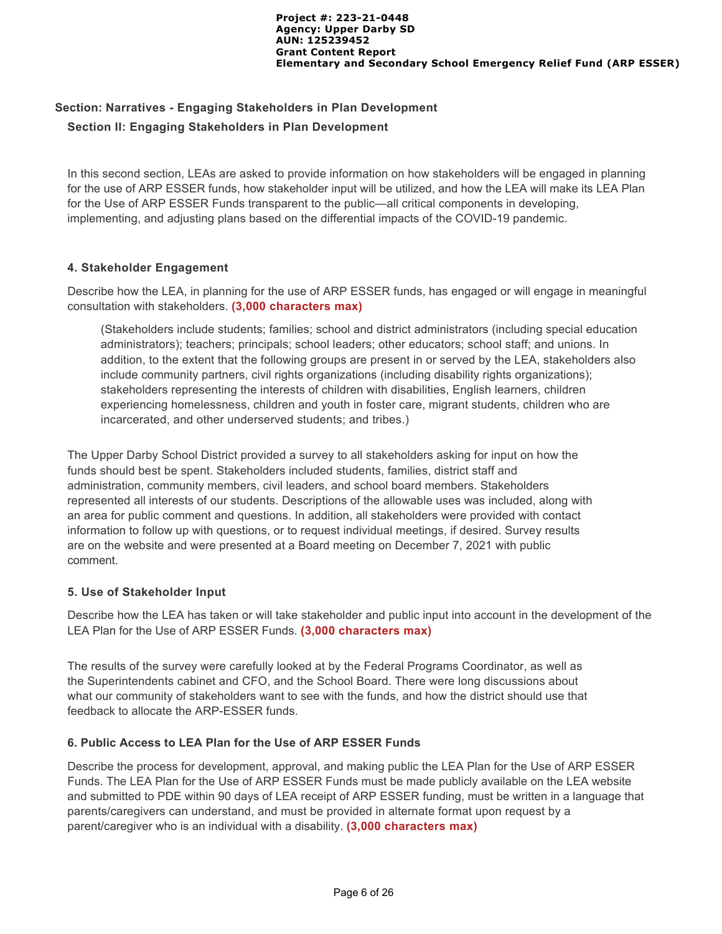# **Section: Narratives - Engaging Stakeholders in Plan Development Section II: Engaging Stakeholders in Plan Development**

In this second section, LEAs are asked to provide information on how stakeholders will be engaged in planning for the use of ARP ESSER funds, how stakeholder input will be utilized, and how the LEA will make its LEA Plan for the Use of ARP ESSER Funds transparent to the public—all critical components in developing, implementing, and adjusting plans based on the differential impacts of the COVID-19 pandemic.

## **4. Stakeholder Engagement**

Describe how the LEA, in planning for the use of ARP ESSER funds, has engaged or will engage in meaningful consultation with stakeholders. **(3,000 characters max)**

(Stakeholders include students; families; school and district administrators (including special education administrators); teachers; principals; school leaders; other educators; school staff; and unions. In addition, to the extent that the following groups are present in or served by the LEA, stakeholders also include community partners, civil rights organizations (including disability rights organizations); stakeholders representing the interests of children with disabilities, English learners, children experiencing homelessness, children and youth in foster care, migrant students, children who are incarcerated, and other underserved students; and tribes.)

The Upper Darby School District provided a survey to all stakeholders asking for input on how the funds should best be spent. Stakeholders included students, families, district staff and administration, community members, civil leaders, and school board members. Stakeholders represented all interests of our students. Descriptions of the allowable uses was included, along with an area for public comment and questions. In addition, all stakeholders were provided with contact information to follow up with questions, or to request individual meetings, if desired. Survey results are on the website and were presented at a Board meeting on December 7, 2021 with public comment.

## **5. Use of Stakeholder Input**

Describe how the LEA has taken or will take stakeholder and public input into account in the development of the LEA Plan for the Use of ARP ESSER Funds. **(3,000 characters max)**

The results of the survey were carefully looked at by the Federal Programs Coordinator, as well as the Superintendents cabinet and CFO, and the School Board. There were long discussions about what our community of stakeholders want to see with the funds, and how the district should use that feedback to allocate the ARP-ESSER funds.

## **6. Public Access to LEA Plan for the Use of ARP ESSER Funds**

Describe the process for development, approval, and making public the LEA Plan for the Use of ARP ESSER Funds. The LEA Plan for the Use of ARP ESSER Funds must be made publicly available on the LEA website and submitted to PDE within 90 days of LEA receipt of ARP ESSER funding, must be written in a language that parents/caregivers can understand, and must be provided in alternate format upon request by a parent/caregiver who is an individual with a disability. **(3,000 characters max)**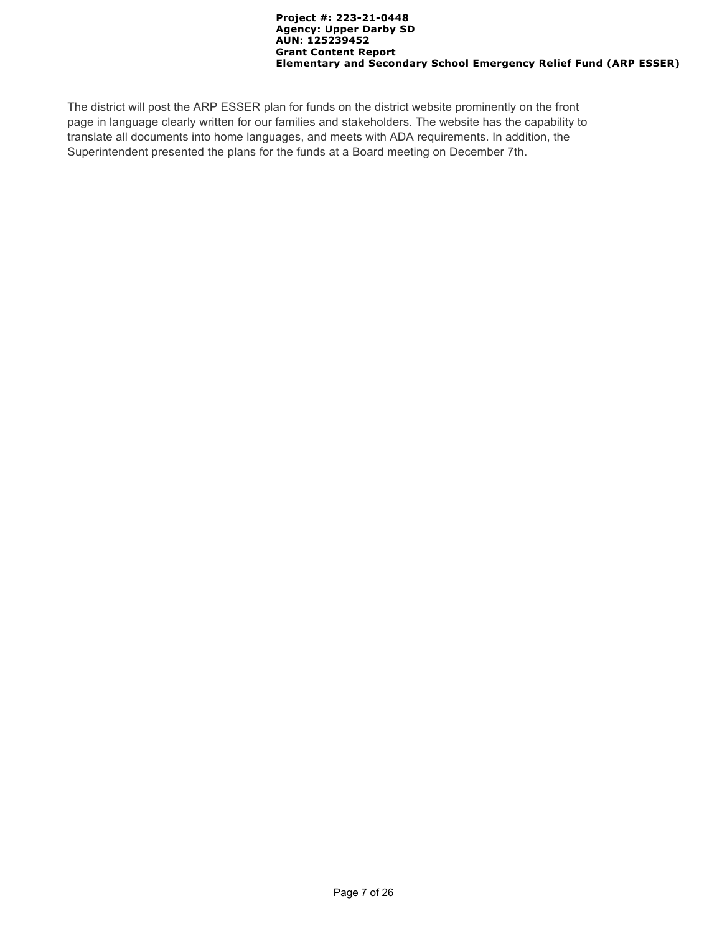The district will post the ARP ESSER plan for funds on the district website prominently on the front page in language clearly written for our families and stakeholders. The website has the capability to translate all documents into home languages, and meets with ADA requirements. In addition, the Superintendent presented the plans for the funds at a Board meeting on December 7th.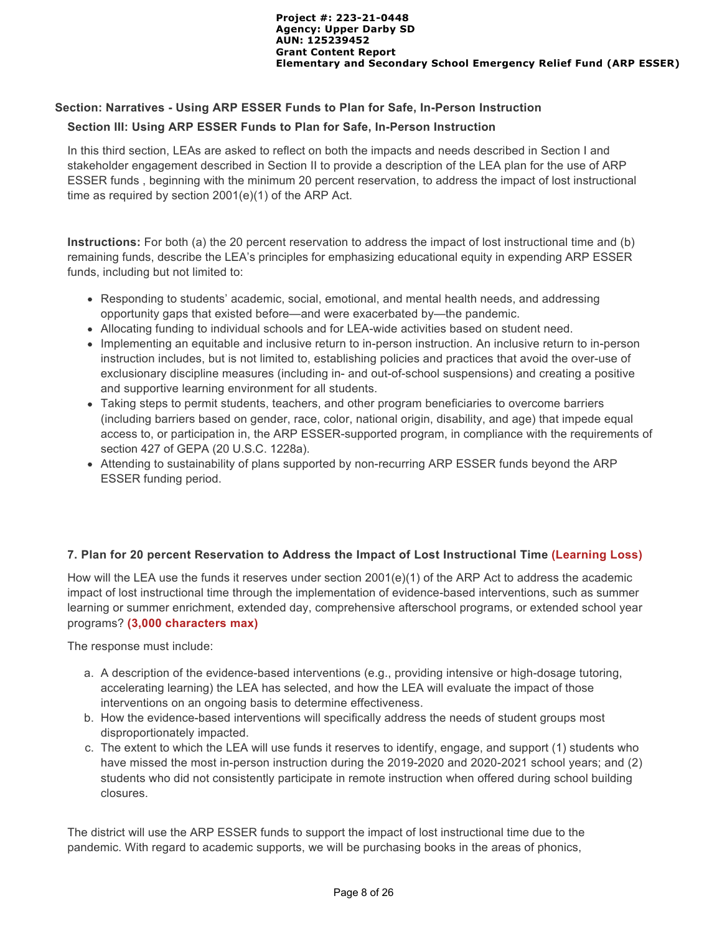## **Section: Narratives - Using ARP ESSER Funds to Plan for Safe, In-Person Instruction Section III: Using ARP ESSER Funds to Plan for Safe, In-Person Instruction**

In this third section, LEAs are asked to reflect on both the impacts and needs described in Section I and stakeholder engagement described in Section II to provide a description of the LEA plan for the use of ARP ESSER funds , beginning with the minimum 20 percent reservation, to address the impact of lost instructional time as required by section 2001(e)(1) of the ARP Act.

**Instructions:** For both (a) the 20 percent reservation to address the impact of lost instructional time and (b) remaining funds, describe the LEA's principles for emphasizing educational equity in expending ARP ESSER funds, including but not limited to:

- Responding to students' academic, social, emotional, and mental health needs, and addressing opportunity gaps that existed before—and were exacerbated by—the pandemic.
- Allocating funding to individual schools and for LEA-wide activities based on student need.
- Implementing an equitable and inclusive return to in-person instruction. An inclusive return to in-person instruction includes, but is not limited to, establishing policies and practices that avoid the over-use of exclusionary discipline measures (including in- and out-of-school suspensions) and creating a positive and supportive learning environment for all students.
- Taking steps to permit students, teachers, and other program beneficiaries to overcome barriers (including barriers based on gender, race, color, national origin, disability, and age) that impede equal access to, or participation in, the ARP ESSER-supported program, in compliance with the requirements of section 427 of GEPA (20 U.S.C. 1228a).
- Attending to sustainability of plans supported by non-recurring ARP ESSER funds beyond the ARP ESSER funding period.

## **7. Plan for 20 percent Reservation to Address the Impact of Lost Instructional Time (Learning Loss)**

How will the LEA use the funds it reserves under section 2001(e)(1) of the ARP Act to address the academic impact of lost instructional time through the implementation of evidence-based interventions, such as summer learning or summer enrichment, extended day, comprehensive afterschool programs, or extended school year programs? **(3,000 characters max)** 

The response must include:

- a. A description of the evidence-based interventions (e.g., providing intensive or high-dosage tutoring, accelerating learning) the LEA has selected, and how the LEA will evaluate the impact of those interventions on an ongoing basis to determine effectiveness.
- b. How the evidence-based interventions will specifically address the needs of student groups most disproportionately impacted.
- c. The extent to which the LEA will use funds it reserves to identify, engage, and support (1) students who have missed the most in-person instruction during the 2019-2020 and 2020-2021 school years; and (2) students who did not consistently participate in remote instruction when offered during school building closures.

The district will use the ARP ESSER funds to support the impact of lost instructional time due to the pandemic. With regard to academic supports, we will be purchasing books in the areas of phonics,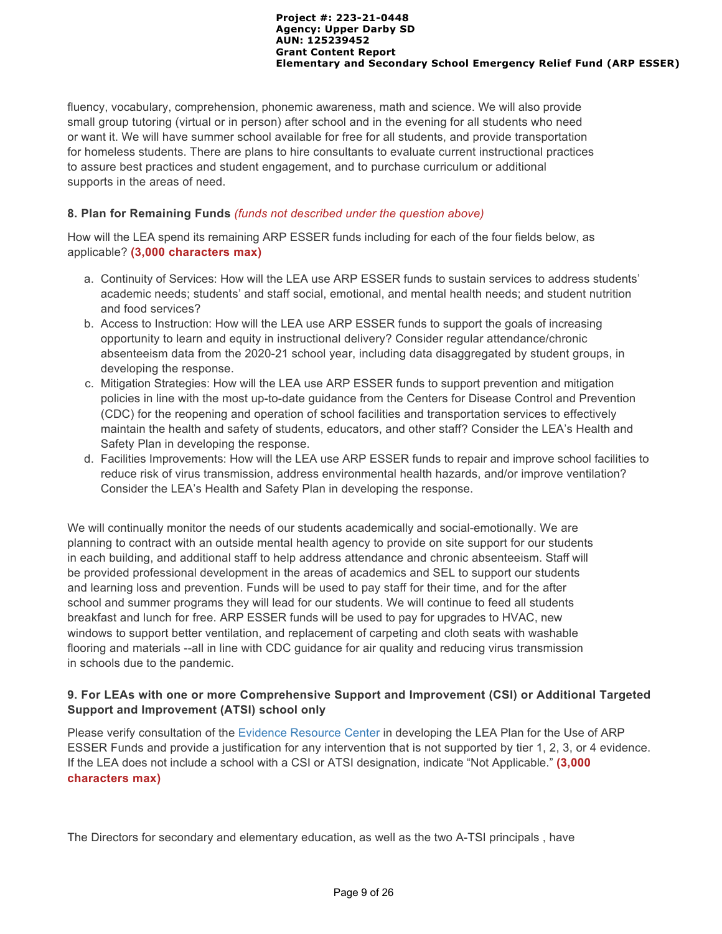fluency, vocabulary, comprehension, phonemic awareness, math and science. We will also provide small group tutoring (virtual or in person) after school and in the evening for all students who need or want it. We will have summer school available for free for all students, and provide transportation for homeless students. There are plans to hire consultants to evaluate current instructional practices to assure best practices and student engagement, and to purchase curriculum or additional supports in the areas of need.

### **8. Plan for Remaining Funds** *(funds not described under the question above)*

How will the LEA spend its remaining ARP ESSER funds including for each of the four fields below, as applicable? **(3,000 characters max)**

- a. Continuity of Services: How will the LEA use ARP ESSER funds to sustain services to address students' academic needs; students' and staff social, emotional, and mental health needs; and student nutrition and food services?
- b. Access to Instruction: How will the LEA use ARP ESSER funds to support the goals of increasing opportunity to learn and equity in instructional delivery? Consider regular attendance/chronic absenteeism data from the 2020-21 school year, including data disaggregated by student groups, in developing the response.
- c. Mitigation Strategies: How will the LEA use ARP ESSER funds to support prevention and mitigation policies in line with the most up-to-date guidance from the Centers for Disease Control and Prevention (CDC) for the reopening and operation of school facilities and transportation services to effectively maintain the health and safety of students, educators, and other staff? Consider the LEA's Health and Safety Plan in developing the response.
- d. Facilities Improvements: How will the LEA use ARP ESSER funds to repair and improve school facilities to reduce risk of virus transmission, address environmental health hazards, and/or improve ventilation? Consider the LEA's Health and Safety Plan in developing the response.

We will continually monitor the needs of our students academically and social-emotionally. We are planning to contract with an outside mental health agency to provide on site support for our students in each building, and additional staff to help address attendance and chronic absenteeism. Staff will be provided professional development in the areas of academics and SEL to support our students and learning loss and prevention. Funds will be used to pay staff for their time, and for the after school and summer programs they will lead for our students. We will continue to feed all students breakfast and lunch for free. ARP ESSER funds will be used to pay for upgrades to HVAC, new windows to support better ventilation, and replacement of carpeting and cloth seats with washable flooring and materials --all in line with CDC guidance for air quality and reducing virus transmission in schools due to the pandemic.

## **9. For LEAs with one or more Comprehensive Support and Improvement (CSI) or Additional Targeted Support and Improvement (ATSI) school only**

Please verify consultation of the [Evidence Resource Center](https://www.evidenceforpa.org/) in developing the LEA Plan for the Use of ARP ESSER Funds and provide a justification for any intervention that is not supported by tier 1, 2, 3, or 4 evidence. If the LEA does not include a school with a CSI or ATSI designation, indicate "Not Applicable." **(3,000 characters max)**

The Directors for secondary and elementary education, as well as the two A-TSI principals , have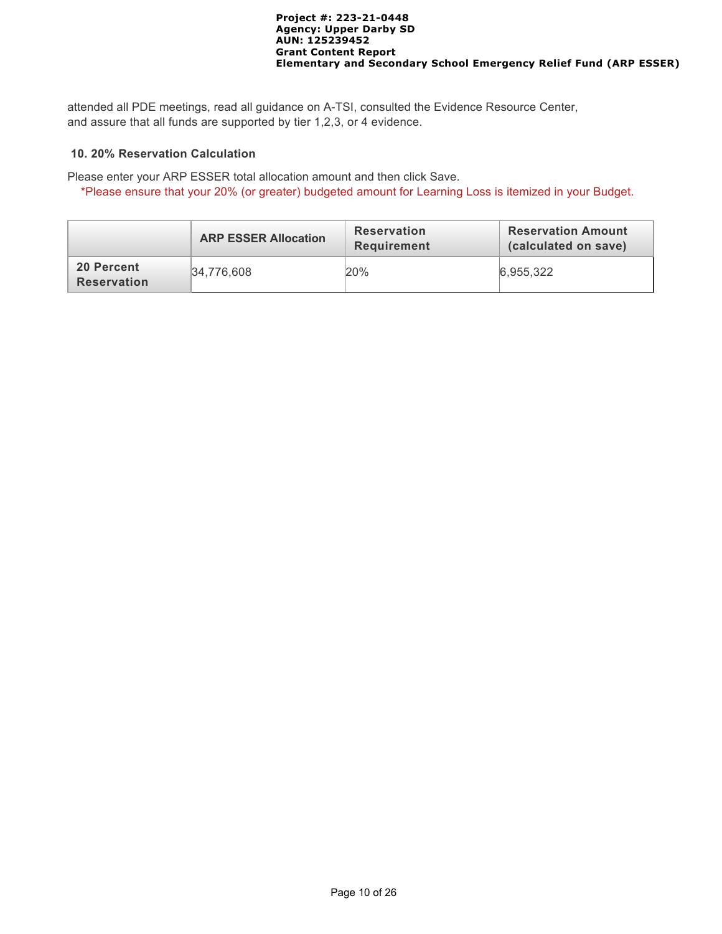attended all PDE meetings, read all guidance on A-TSI, consulted the Evidence Resource Center, and assure that all funds are supported by tier 1,2,3, or 4 evidence.

### **10. 20% Reservation Calculation**

Please enter your ARP ESSER total allocation amount and then click Save.

\*Please ensure that your 20% (or greater) budgeted amount for Learning Loss is itemized in your Budget.

|                                  | <b>ARP ESSER Allocation</b> | <b>Reservation</b><br><b>Requirement</b> | <b>Reservation Amount</b><br>(calculated on save) |
|----------------------------------|-----------------------------|------------------------------------------|---------------------------------------------------|
| 20 Percent<br><b>Reservation</b> | 34.776.608                  | 20%                                      | 6.955.322                                         |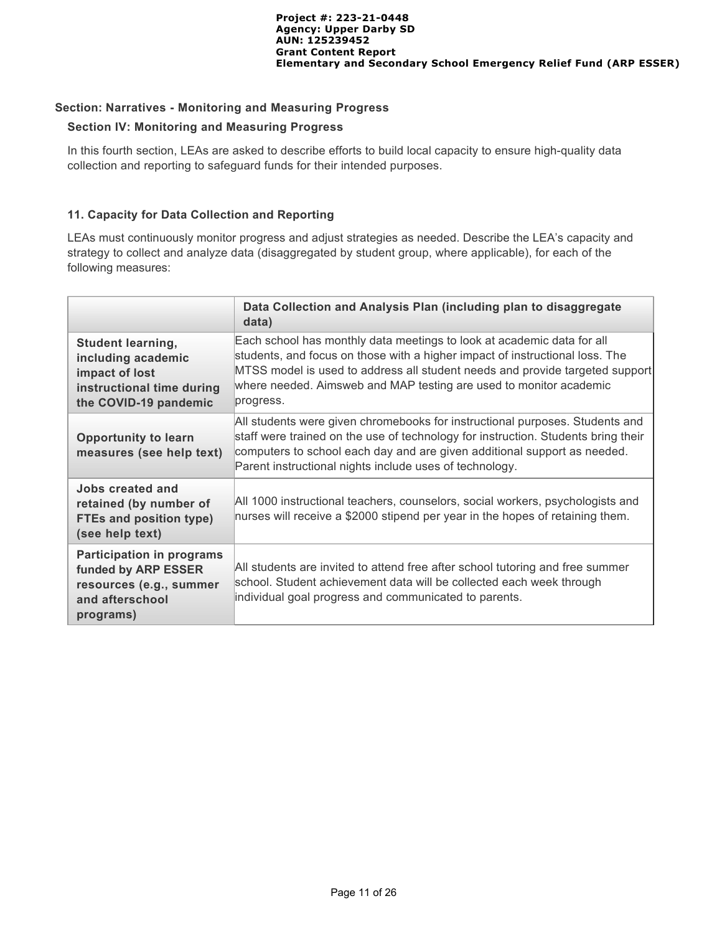## **Section: Narratives - Monitoring and Measuring Progress**

### **Section IV: Monitoring and Measuring Progress**

In this fourth section, LEAs are asked to describe efforts to build local capacity to ensure high-quality data collection and reporting to safeguard funds for their intended purposes.

## **11. Capacity for Data Collection and Reporting**

LEAs must continuously monitor progress and adjust strategies as needed. Describe the LEA's capacity and strategy to collect and analyze data (disaggregated by student group, where applicable), for each of the following measures:

|                                                                                                                        | Data Collection and Analysis Plan (including plan to disaggregate<br>data)                                                                                                                                                                                                                                                |
|------------------------------------------------------------------------------------------------------------------------|---------------------------------------------------------------------------------------------------------------------------------------------------------------------------------------------------------------------------------------------------------------------------------------------------------------------------|
| <b>Student learning,</b><br>including academic<br>impact of lost<br>instructional time during<br>the COVID-19 pandemic | Each school has monthly data meetings to look at academic data for all<br>students, and focus on those with a higher impact of instructional loss. The<br>MTSS model is used to address all student needs and provide targeted support<br>where needed. Aimsweb and MAP testing are used to monitor academic<br>progress. |
| <b>Opportunity to learn</b><br>measures (see help text)                                                                | All students were given chromebooks for instructional purposes. Students and<br>staff were trained on the use of technology for instruction. Students bring their<br>computers to school each day and are given additional support as needed.<br>Parent instructional nights include uses of technology.                  |
| Jobs created and<br>retained (by number of<br><b>FTEs and position type)</b><br>(see help text)                        | All 1000 instructional teachers, counselors, social workers, psychologists and<br>nurses will receive a \$2000 stipend per year in the hopes of retaining them.                                                                                                                                                           |
| <b>Participation in programs</b><br>funded by ARP ESSER<br>resources (e.g., summer<br>and afterschool<br>programs)     | All students are invited to attend free after school tutoring and free summer<br>school. Student achievement data will be collected each week through<br>individual goal progress and communicated to parents.                                                                                                            |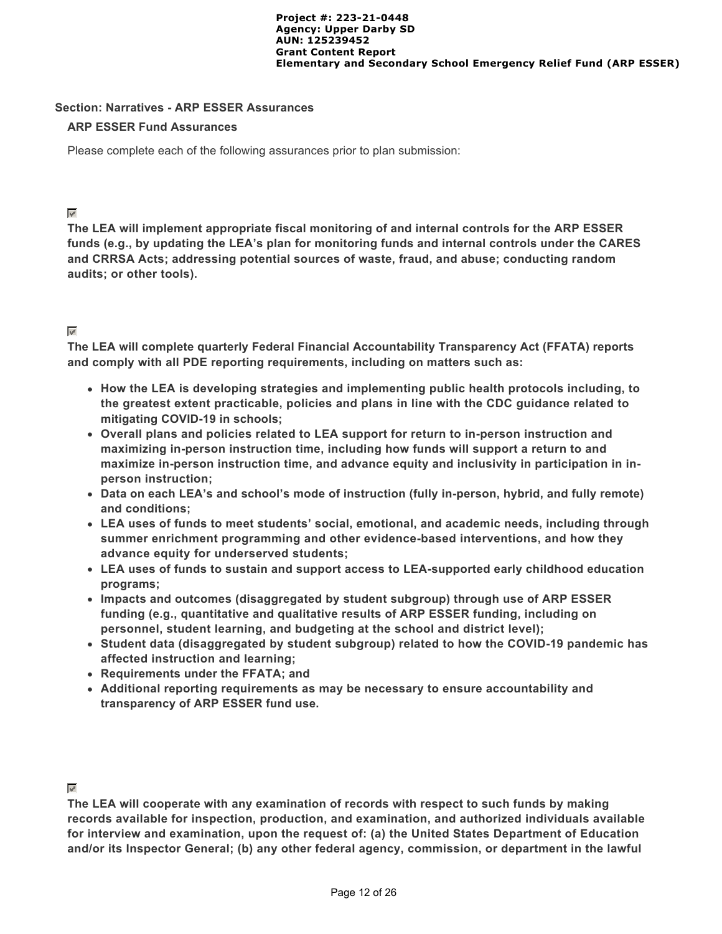### **Section: Narratives - ARP ESSER Assurances**

### **ARP ESSER Fund Assurances**

Please complete each of the following assurances prior to plan submission:

## $\overline{\psi^i}$

**The LEA will implement appropriate fiscal monitoring of and internal controls for the ARP ESSER funds (e.g., by updating the LEA's plan for monitoring funds and internal controls under the CARES and CRRSA Acts; addressing potential sources of waste, fraud, and abuse; conducting random audits; or other tools).**

# $\mathbf{v}^{\mu}$

**The LEA will complete quarterly Federal Financial Accountability Transparency Act (FFATA) reports and comply with all PDE reporting requirements, including on matters such as:**

- **How the LEA is developing strategies and implementing public health protocols including, to the greatest extent practicable, policies and plans in line with the CDC guidance related to mitigating COVID-19 in schools;**
- **Overall plans and policies related to LEA support for return to in-person instruction and maximizing in-person instruction time, including how funds will support a return to and maximize in-person instruction time, and advance equity and inclusivity in participation in inperson instruction;**
- **Data on each LEA's and school's mode of instruction (fully in-person, hybrid, and fully remote) and conditions;**
- **LEA uses of funds to meet students' social, emotional, and academic needs, including through summer enrichment programming and other evidence-based interventions, and how they advance equity for underserved students;**
- **LEA uses of funds to sustain and support access to LEA-supported early childhood education programs;**
- **Impacts and outcomes (disaggregated by student subgroup) through use of ARP ESSER funding (e.g., quantitative and qualitative results of ARP ESSER funding, including on personnel, student learning, and budgeting at the school and district level);**
- **Student data (disaggregated by student subgroup) related to how the COVID-19 pandemic has affected instruction and learning;**
- **Requirements under the FFATA; and**
- **Additional reporting requirements as may be necessary to ensure accountability and transparency of ARP ESSER fund use.**

## $\mathbf{v}^{\prime}$

**The LEA will cooperate with any examination of records with respect to such funds by making records available for inspection, production, and examination, and authorized individuals available for interview and examination, upon the request of: (a) the United States Department of Education and/or its Inspector General; (b) any other federal agency, commission, or department in the lawful**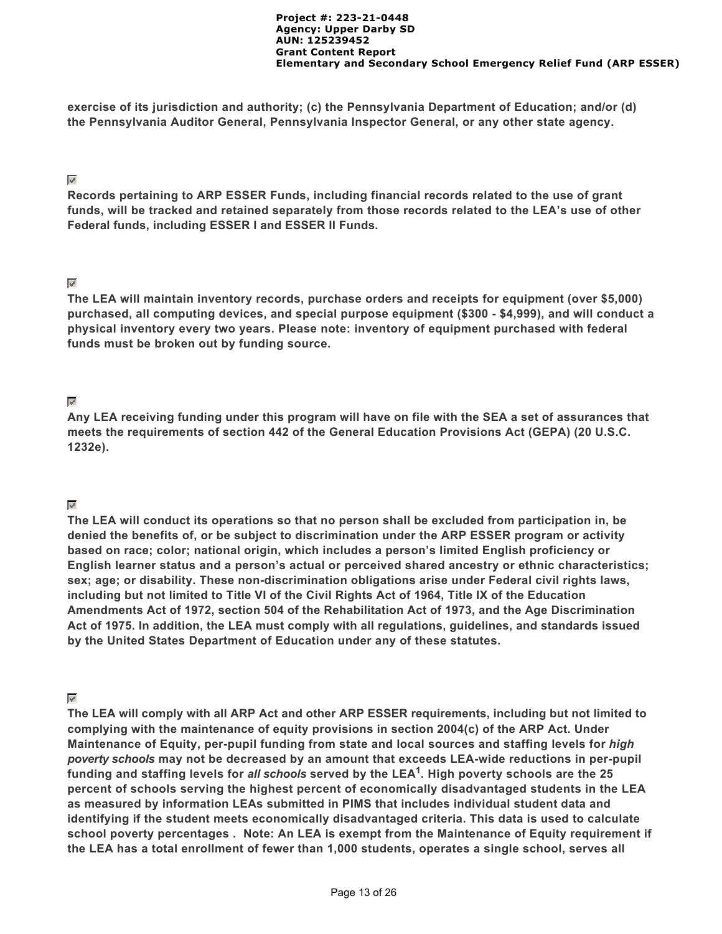**exercise of its jurisdiction and authority; (c) the Pennsylvania Department of Education; and/or (d) the Pennsylvania Auditor General, Pennsylvania Inspector General, or any other state agency.**

### $\mathbb{V}^{\mathbb{P}}$

**Records pertaining to ARP ESSER Funds, including financial records related to the use of grant funds, will be tracked and retained separately from those records related to the LEA's use of other Federal funds, including ESSER I and ESSER II Funds.**

## $\mathbf{w}^{\mathbf{d}}$

**The LEA will maintain inventory records, purchase orders and receipts for equipment (over \$5,000) purchased, all computing devices, and special purpose equipment (\$300 - \$4,999), and will conduct a physical inventory every two years. Please note: inventory of equipment purchased with federal funds must be broken out by funding source.**

## $\overline{\mathbf{v}^{\prime}}$

**Any LEA receiving funding under this program will have on file with the SEA a set of assurances that meets the requirements of section 442 of the General Education Provisions Act (GEPA) (20 U.S.C. 1232e).**

## $\mathbb{V}$

**The LEA will conduct its operations so that no person shall be excluded from participation in, be denied the benefits of, or be subject to discrimination under the ARP ESSER program or activity based on race; color; national origin, which includes a person's limited English proficiency or English learner status and a person's actual or perceived shared ancestry or ethnic characteristics; sex; age; or disability. These non-discrimination obligations arise under Federal civil rights laws, including but not limited to Title VI of the Civil Rights Act of 1964, Title IX of the Education Amendments Act of 1972, section 504 of the Rehabilitation Act of 1973, and the Age Discrimination Act of 1975. In addition, the LEA must comply with all regulations, guidelines, and standards issued by the United States Department of Education under any of these statutes.**

# $\overline{\mathbf{v}^{\mu}}$

**The LEA will comply with all ARP Act and other ARP ESSER requirements, including but not limited to complying with the maintenance of equity provisions in section 2004(c) of the ARP Act. Under Maintenance of Equity, per-pupil funding from state and local sources and staffing levels for** *high poverty schools* **may not be decreased by an amount that exceeds LEA-wide reductions in per-pupil** funding and staffing levels for *all schools* served by the LEA<sup>1</sup>. High poverty schools are the 25 **percent of schools serving the highest percent of economically disadvantaged students in the LEA as measured by information LEAs submitted in PIMS that includes individual student data and identifying if the student meets economically disadvantaged criteria. This data is used to calculate school poverty percentages . Note: An LEA is exempt from the Maintenance of Equity requirement if the LEA has a total enrollment of fewer than 1,000 students, operates a single school, serves all**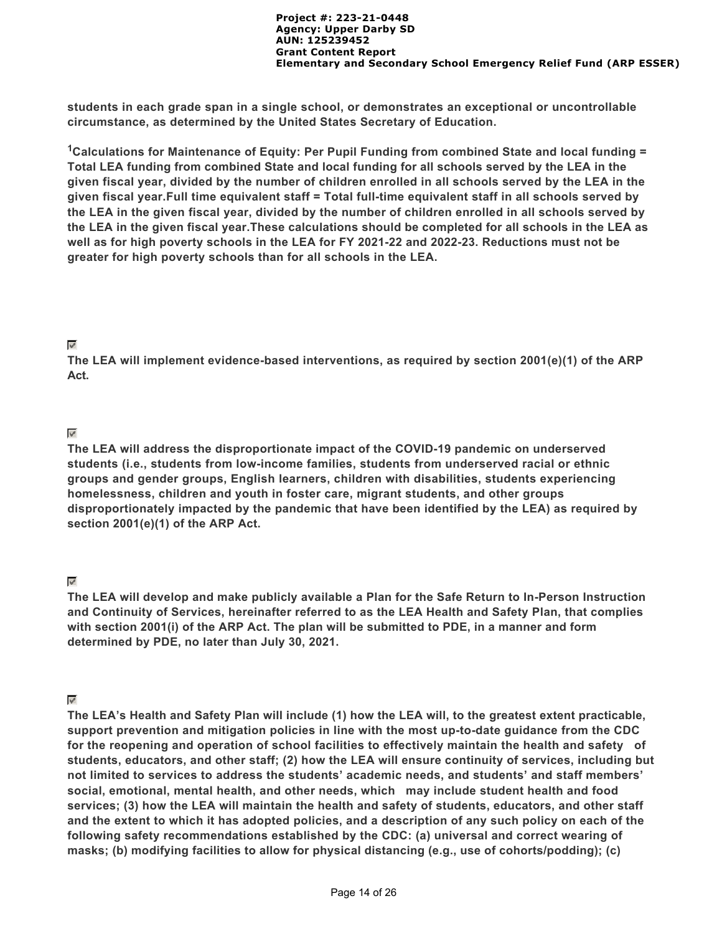**students in each grade span in a single school, or demonstrates an exceptional or uncontrollable circumstance, as determined by the United States Secretary of Education.**

<sup>1</sup>Calculations for Maintenance of Equity: Per Pupil Funding from combined State and local funding = **Total LEA funding from combined State and local funding for all schools served by the LEA in the given fiscal year, divided by the number of children enrolled in all schools served by the LEA in the given fiscal year.Full time equivalent staff = Total full-time equivalent staff in all schools served by the LEA in the given fiscal year, divided by the number of children enrolled in all schools served by the LEA in the given fiscal year.These calculations should be completed for all schools in the LEA as well as for high poverty schools in the LEA for FY 2021-22 and 2022-23. Reductions must not be greater for high poverty schools than for all schools in the LEA.**

### $\psi^{\mu}$

**The LEA will implement evidence-based interventions, as required by section 2001(e)(1) of the ARP Act.**

## $\mathbf{w}^{\mathbf{d}}$

**The LEA will address the disproportionate impact of the COVID-19 pandemic on underserved students (i.e., students from low-income families, students from underserved racial or ethnic groups and gender groups, English learners, children with disabilities, students experiencing homelessness, children and youth in foster care, migrant students, and other groups disproportionately impacted by the pandemic that have been identified by the LEA) as required by section 2001(e)(1) of the ARP Act.**

## $\mathbf{w}^{\mathbf{d}}$

**The LEA will develop and make publicly available a Plan for the Safe Return to In-Person Instruction and Continuity of Services, hereinafter referred to as the LEA Health and Safety Plan, that complies with section 2001(i) of the ARP Act. The plan will be submitted to PDE, in a manner and form determined by PDE, no later than July 30, 2021.** 

## $\mathbb{V}$

**The LEA's Health and Safety Plan will include (1) how the LEA will, to the greatest extent practicable, support prevention and mitigation policies in line with the most up-to-date guidance from the CDC for the reopening and operation of school facilities to effectively maintain the health and safety of students, educators, and other staff; (2) how the LEA will ensure continuity of services, including but not limited to services to address the students' academic needs, and students' and staff members' social, emotional, mental health, and other needs, which may include student health and food services; (3) how the LEA will maintain the health and safety of students, educators, and other staff and the extent to which it has adopted policies, and a description of any such policy on each of the following safety recommendations established by the CDC: (a) universal and correct wearing of masks; (b) modifying facilities to allow for physical distancing (e.g., use of cohorts/podding); (c)**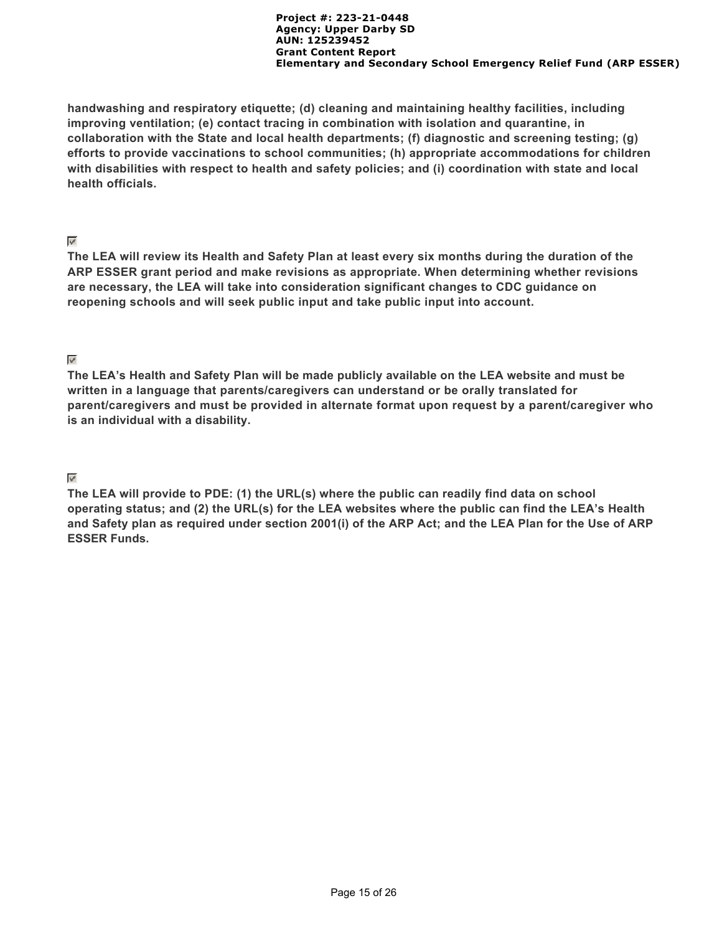**handwashing and respiratory etiquette; (d) cleaning and maintaining healthy facilities, including improving ventilation; (e) contact tracing in combination with isolation and quarantine, in collaboration with the State and local health departments; (f) diagnostic and screening testing; (g) efforts to provide vaccinations to school communities; (h) appropriate accommodations for children with disabilities with respect to health and safety policies; and (i) coordination with state and local health officials.**

## $\mathbf{v}^{\mathbf{r}}$

**The LEA will review its Health and Safety Plan at least every six months during the duration of the ARP ESSER grant period and make revisions as appropriate. When determining whether revisions are necessary, the LEA will take into consideration significant changes to CDC guidance on reopening schools and will seek public input and take public input into account.**

## **Regul**

**The LEA's Health and Safety Plan will be made publicly available on the LEA website and must be written in a language that parents/caregivers can understand or be orally translated for parent/caregivers and must be provided in alternate format upon request by a parent/caregiver who is an individual with a disability.**

## $\triangledown$

**The LEA will provide to PDE: (1) the URL(s) where the public can readily find data on school operating status; and (2) the URL(s) for the LEA websites where the public can find the LEA's Health and Safety plan as required under section 2001(i) of the ARP Act; and the LEA Plan for the Use of ARP ESSER Funds.**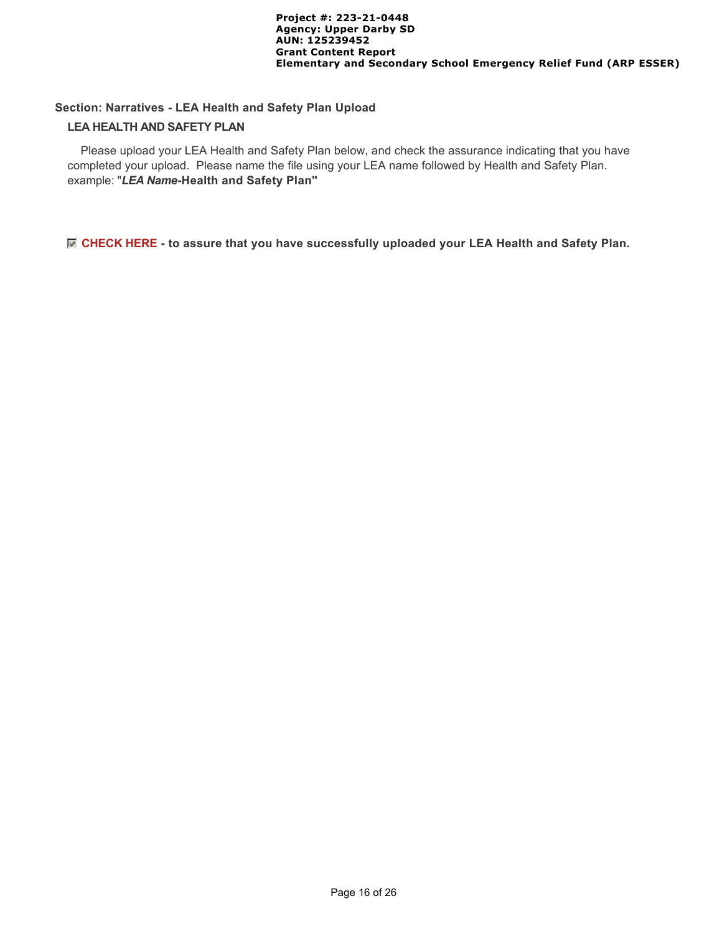## **Section: Narratives - LEA Health and Safety Plan Upload LEA HEALTH AND SAFETY PLAN**

 Please upload your LEA Health and Safety Plan below, and check the assurance indicating that you have completed your upload. Please name the file using your LEA name followed by Health and Safety Plan. example: "*LEA Name***-Health and Safety Plan"**

### **CHECK HERE - to assure that you have successfully uploaded your LEA Health and Safety Plan.**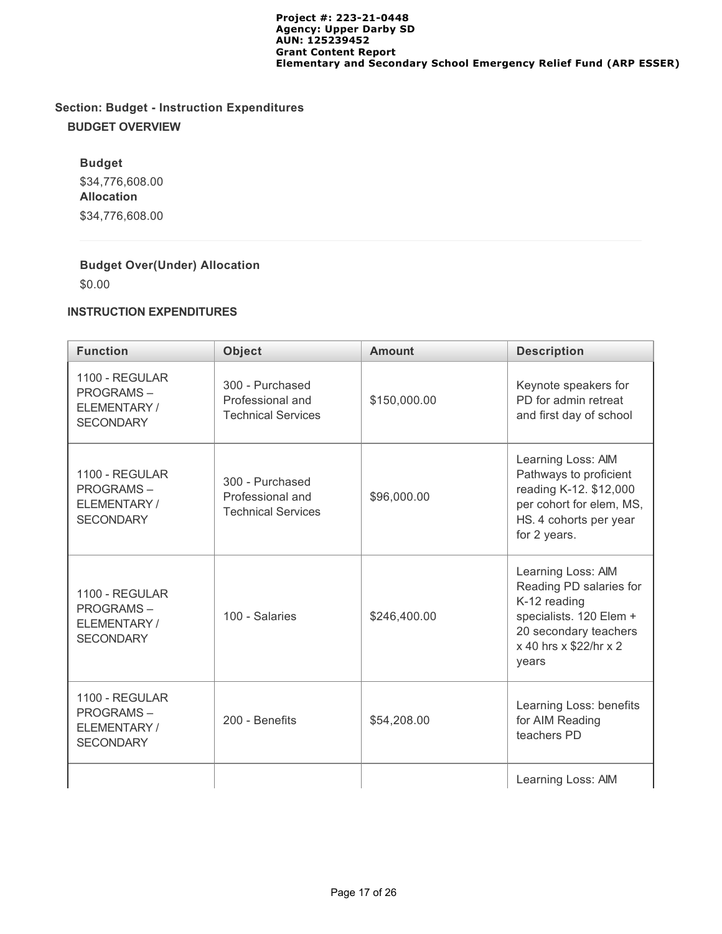# **Section: Budget - Instruction Expenditures BUDGET OVERVIEW**

**Budget** \$34,776,608.00 **Allocation** \$34,776,608.00

## **Budget Over(Under) Allocation**

\$0.00

## **INSTRUCTION EXPENDITURES**

| <b>Function</b>                                                              | <b>Object</b>                                                    | <b>Amount</b> | <b>Description</b>                                                                                                                                   |
|------------------------------------------------------------------------------|------------------------------------------------------------------|---------------|------------------------------------------------------------------------------------------------------------------------------------------------------|
| 1100 - REGULAR<br><b>PROGRAMS-</b><br>ELEMENTARY /<br><b>SECONDARY</b>       | 300 - Purchased<br>Professional and<br><b>Technical Services</b> | \$150,000.00  | Keynote speakers for<br>PD for admin retreat<br>and first day of school                                                                              |
| <b>1100 - REGULAR</b><br><b>PROGRAMS-</b><br>ELEMENTARY/<br><b>SECONDARY</b> | 300 - Purchased<br>Professional and<br><b>Technical Services</b> | \$96,000.00   | Learning Loss: AIM<br>Pathways to proficient<br>reading K-12. \$12,000<br>per cohort for elem, MS,<br>HS. 4 cohorts per year<br>for 2 years.         |
| 1100 - REGULAR<br><b>PROGRAMS-</b><br>ELEMENTARY/<br><b>SECONDARY</b>        | 100 - Salaries                                                   | \$246,400.00  | Learning Loss: AIM<br>Reading PD salaries for<br>K-12 reading<br>specialists. 120 Elem +<br>20 secondary teachers<br>x 40 hrs x \$22/hr x 2<br>years |
| 1100 - REGULAR<br><b>PROGRAMS-</b><br>ELEMENTARY/<br><b>SECONDARY</b>        | 200 - Benefits                                                   | \$54,208.00   | Learning Loss: benefits<br>for AIM Reading<br>teachers PD                                                                                            |
|                                                                              |                                                                  |               | Learning Loss: AIM                                                                                                                                   |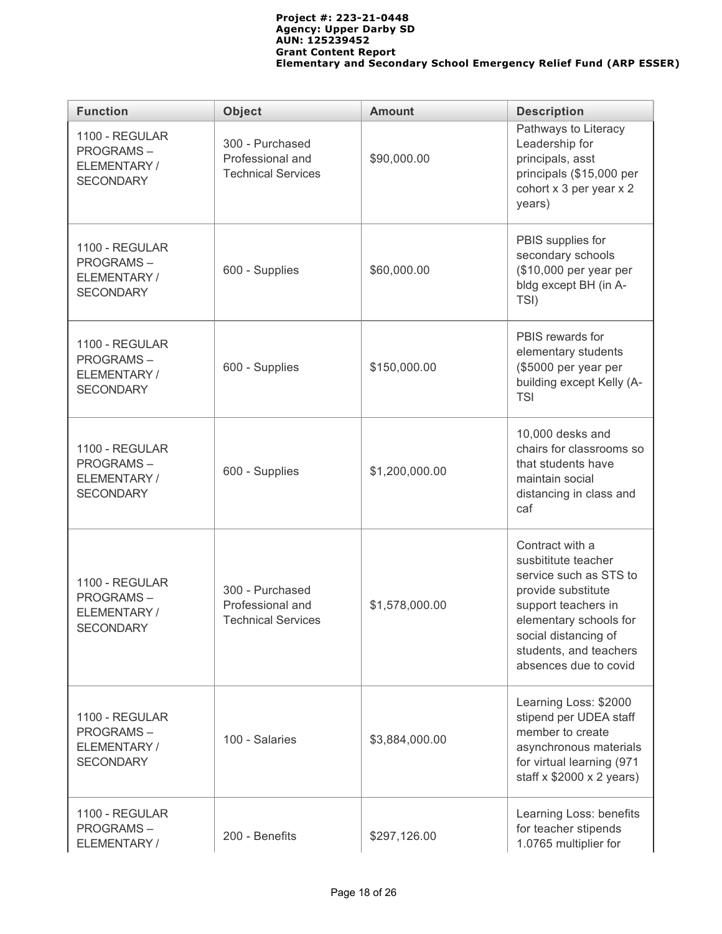| <b>Function</b>                                                        | <b>Object</b>                                                    | <b>Amount</b>  | <b>Description</b>                                                                                                                                                                                                 |
|------------------------------------------------------------------------|------------------------------------------------------------------|----------------|--------------------------------------------------------------------------------------------------------------------------------------------------------------------------------------------------------------------|
| 1100 - REGULAR<br><b>PROGRAMS-</b><br>ELEMENTARY /<br><b>SECONDARY</b> | 300 - Purchased<br>Professional and<br><b>Technical Services</b> | \$90,000.00    | Pathways to Literacy<br>Leadership for<br>principals, asst<br>principals (\$15,000 per<br>cohort x 3 per year x 2<br>years)                                                                                        |
| 1100 - REGULAR<br><b>PROGRAMS-</b><br>ELEMENTARY /<br><b>SECONDARY</b> | 600 - Supplies                                                   | \$60,000.00    | PBIS supplies for<br>secondary schools<br>(\$10,000 per year per<br>bldg except BH (in A-<br>TSI)                                                                                                                  |
| 1100 - REGULAR<br><b>PROGRAMS-</b><br>ELEMENTARY /<br><b>SECONDARY</b> | 600 - Supplies                                                   | \$150,000.00   | PBIS rewards for<br>elementary students<br>(\$5000 per year per<br>building except Kelly (A-<br><b>TSI</b>                                                                                                         |
| 1100 - REGULAR<br><b>PROGRAMS-</b><br>ELEMENTARY/<br><b>SECONDARY</b>  | 600 - Supplies                                                   | \$1,200,000.00 | 10,000 desks and<br>chairs for classrooms so<br>that students have<br>maintain social<br>distancing in class and<br>caf                                                                                            |
| 1100 - REGULAR<br><b>PROGRAMS-</b><br>ELEMENTARY/<br><b>SECONDARY</b>  | 300 - Purchased<br>Professional and<br><b>Technical Services</b> | \$1,578,000.00 | Contract with a<br>susbititute teacher<br>service such as STS to<br>provide substitute<br>support teachers in<br>elementary schools for<br>social distancing of<br>students, and teachers<br>absences due to covid |
| 1100 - REGULAR<br><b>PROGRAMS-</b><br>ELEMENTARY/<br><b>SECONDARY</b>  | 100 - Salaries                                                   | \$3,884,000.00 | Learning Loss: \$2000<br>stipend per UDEA staff<br>member to create<br>asynchronous materials<br>for virtual learning (971<br>staff $x$ \$2000 $x$ 2 years)                                                        |
| 1100 - REGULAR<br><b>PROGRAMS-</b><br>ELEMENTARY /                     | 200 - Benefits                                                   | \$297,126.00   | Learning Loss: benefits<br>for teacher stipends<br>1.0765 multiplier for                                                                                                                                           |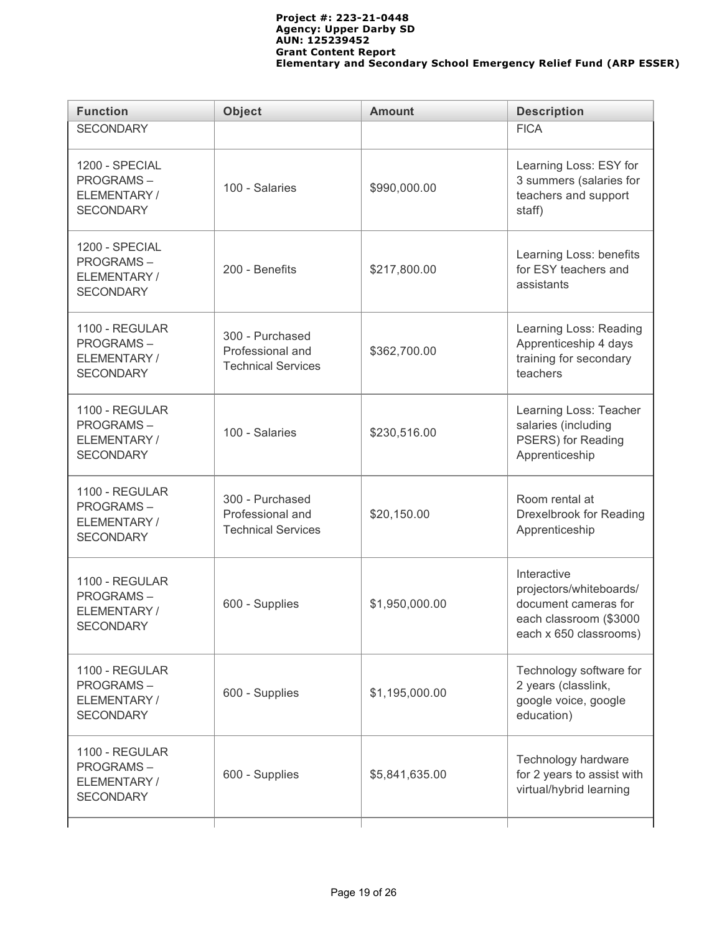| <b>Function</b>                                                        | <b>Object</b>                                                    | <b>Amount</b>  | <b>Description</b>                                                                                                 |
|------------------------------------------------------------------------|------------------------------------------------------------------|----------------|--------------------------------------------------------------------------------------------------------------------|
| <b>SECONDARY</b>                                                       |                                                                  |                | <b>FICA</b>                                                                                                        |
| 1200 - SPECIAL<br><b>PROGRAMS-</b><br>ELEMENTARY/<br><b>SECONDARY</b>  | 100 - Salaries                                                   | \$990,000.00   | Learning Loss: ESY for<br>3 summers (salaries for<br>teachers and support<br>staff)                                |
| 1200 - SPECIAL<br><b>PROGRAMS-</b><br>ELEMENTARY/<br><b>SECONDARY</b>  | 200 - Benefits                                                   | \$217,800.00   | Learning Loss: benefits<br>for ESY teachers and<br>assistants                                                      |
| 1100 - REGULAR<br><b>PROGRAMS-</b><br>ELEMENTARY/<br><b>SECONDARY</b>  | 300 - Purchased<br>Professional and<br><b>Technical Services</b> | \$362,700.00   | Learning Loss: Reading<br>Apprenticeship 4 days<br>training for secondary<br>teachers                              |
| 1100 - REGULAR<br><b>PROGRAMS-</b><br>ELEMENTARY/<br><b>SECONDARY</b>  | 100 - Salaries                                                   | \$230,516.00   | Learning Loss: Teacher<br>salaries (including<br>PSERS) for Reading<br>Apprenticeship                              |
| 1100 - REGULAR<br><b>PROGRAMS-</b><br>ELEMENTARY/<br><b>SECONDARY</b>  | 300 - Purchased<br>Professional and<br><b>Technical Services</b> | \$20,150.00    | Room rental at<br>Drexelbrook for Reading<br>Apprenticeship                                                        |
| 1100 - REGULAR<br><b>PROGRAMS-</b><br>ELEMENTARY/<br><b>SECONDARY</b>  | 600 - Supplies                                                   | \$1,950,000.00 | Interactive<br>projectors/whiteboards/<br>document cameras for<br>each classroom (\$3000<br>each x 650 classrooms) |
| 1100 - REGULAR<br><b>PROGRAMS-</b><br>ELEMENTARY /<br><b>SECONDARY</b> | 600 - Supplies                                                   | \$1,195,000.00 | Technology software for<br>2 years (classlink,<br>google voice, google<br>education)                               |
| 1100 - REGULAR<br><b>PROGRAMS-</b><br>ELEMENTARY/<br><b>SECONDARY</b>  | 600 - Supplies                                                   | \$5,841,635.00 | Technology hardware<br>for 2 years to assist with<br>virtual/hybrid learning                                       |
|                                                                        |                                                                  |                |                                                                                                                    |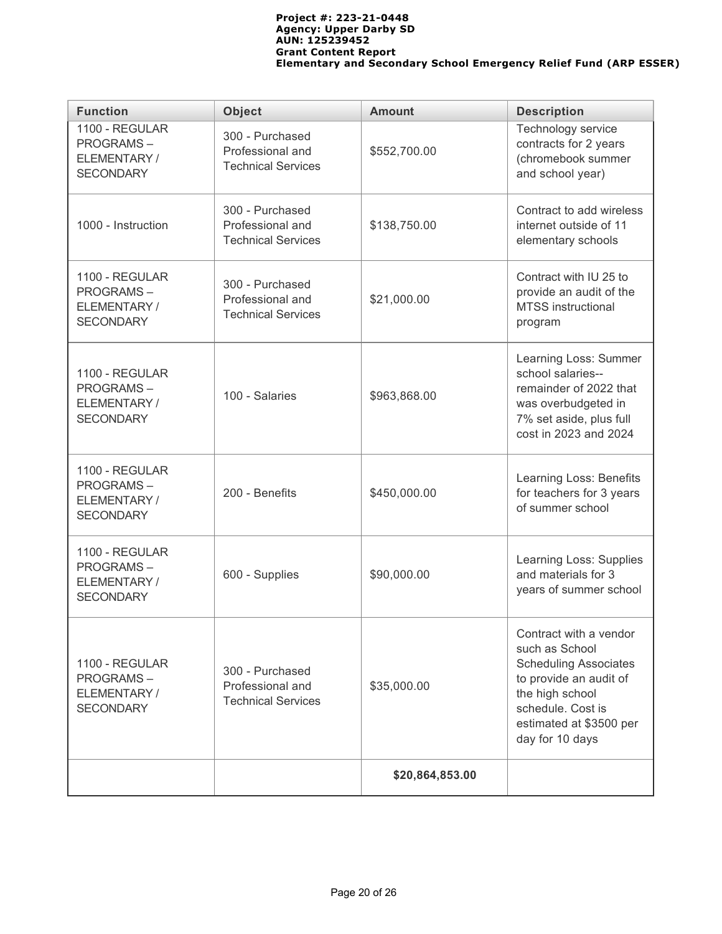| <b>Function</b>                                                       | <b>Object</b>                                                    | <b>Amount</b>   | <b>Description</b>                                                                                                                                                                       |  |  |
|-----------------------------------------------------------------------|------------------------------------------------------------------|-----------------|------------------------------------------------------------------------------------------------------------------------------------------------------------------------------------------|--|--|
| 1100 - REGULAR<br><b>PROGRAMS-</b><br>ELEMENTARY/<br><b>SECONDARY</b> | 300 - Purchased<br>Professional and<br><b>Technical Services</b> | \$552,700.00    | Technology service<br>contracts for 2 years<br>(chromebook summer<br>and school year)                                                                                                    |  |  |
| 1000 - Instruction                                                    | 300 - Purchased<br>Professional and<br><b>Technical Services</b> | \$138,750.00    | Contract to add wireless<br>internet outside of 11<br>elementary schools                                                                                                                 |  |  |
| 1100 - REGULAR<br><b>PROGRAMS-</b><br>ELEMENTARY/<br><b>SECONDARY</b> | 300 - Purchased<br>Professional and<br><b>Technical Services</b> | \$21,000.00     | Contract with IU 25 to<br>provide an audit of the<br><b>MTSS</b> instructional<br>program                                                                                                |  |  |
| 1100 - REGULAR<br><b>PROGRAMS-</b><br>ELEMENTARY/<br><b>SECONDARY</b> | 100 - Salaries                                                   | \$963,868.00    | Learning Loss: Summer<br>school salaries--<br>remainder of 2022 that<br>was overbudgeted in<br>7% set aside, plus full<br>cost in 2023 and 2024                                          |  |  |
| 1100 - REGULAR<br><b>PROGRAMS-</b><br>ELEMENTARY/<br><b>SECONDARY</b> | 200 - Benefits                                                   | \$450,000.00    | Learning Loss: Benefits<br>for teachers for 3 years<br>of summer school                                                                                                                  |  |  |
| 1100 - REGULAR<br><b>PROGRAMS-</b><br>ELEMENTARY/<br><b>SECONDARY</b> | 600 - Supplies                                                   | \$90,000.00     | Learning Loss: Supplies<br>and materials for 3<br>years of summer school                                                                                                                 |  |  |
| 1100 - REGULAR<br><b>PROGRAMS-</b><br>ELEMENTARY/<br><b>SECONDARY</b> | 300 - Purchased<br>Professional and<br><b>Technical Services</b> | \$35,000.00     | Contract with a vendor<br>such as School<br><b>Scheduling Associates</b><br>to provide an audit of<br>the high school<br>schedule. Cost is<br>estimated at \$3500 per<br>day for 10 days |  |  |
|                                                                       |                                                                  | \$20,864,853.00 |                                                                                                                                                                                          |  |  |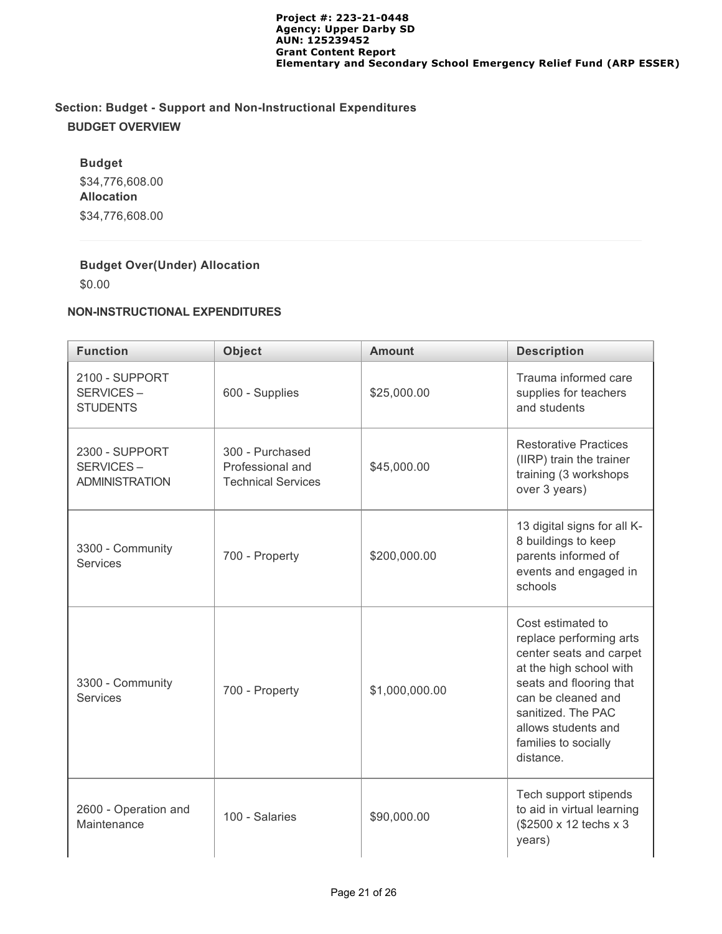# **Section: Budget - Support and Non-Instructional Expenditures BUDGET OVERVIEW**

**Budget** \$34,776,608.00 **Allocation** \$34,776,608.00

## **Budget Over(Under) Allocation**

\$0.00

## **NON-INSTRUCTIONAL EXPENDITURES**

| <b>Function</b>                                      | <b>Object</b>                                                    | <b>Amount</b>  | <b>Description</b>                                                                                                                                                                                                                    |  |
|------------------------------------------------------|------------------------------------------------------------------|----------------|---------------------------------------------------------------------------------------------------------------------------------------------------------------------------------------------------------------------------------------|--|
| 2100 - SUPPORT<br>SERVICES-<br><b>STUDENTS</b>       | 600 - Supplies                                                   | \$25,000.00    | Trauma informed care<br>supplies for teachers<br>and students                                                                                                                                                                         |  |
| 2300 - SUPPORT<br>SERVICES-<br><b>ADMINISTRATION</b> | 300 - Purchased<br>Professional and<br><b>Technical Services</b> | \$45,000.00    | <b>Restorative Practices</b><br>(IIRP) train the trainer<br>training (3 workshops<br>over 3 years)                                                                                                                                    |  |
| 3300 - Community<br><b>Services</b>                  | 700 - Property                                                   | \$200,000.00   | 13 digital signs for all K-<br>8 buildings to keep<br>parents informed of<br>events and engaged in<br>schools                                                                                                                         |  |
| 3300 - Community<br><b>Services</b>                  | 700 - Property                                                   | \$1,000,000.00 | Cost estimated to<br>replace performing arts<br>center seats and carpet<br>at the high school with<br>seats and flooring that<br>can be cleaned and<br>sanitized. The PAC<br>allows students and<br>families to socially<br>distance. |  |
| 2600 - Operation and<br>Maintenance                  | 100 - Salaries                                                   | \$90,000.00    | Tech support stipends<br>to aid in virtual learning<br>(\$2500 x 12 techs x 3<br>years)                                                                                                                                               |  |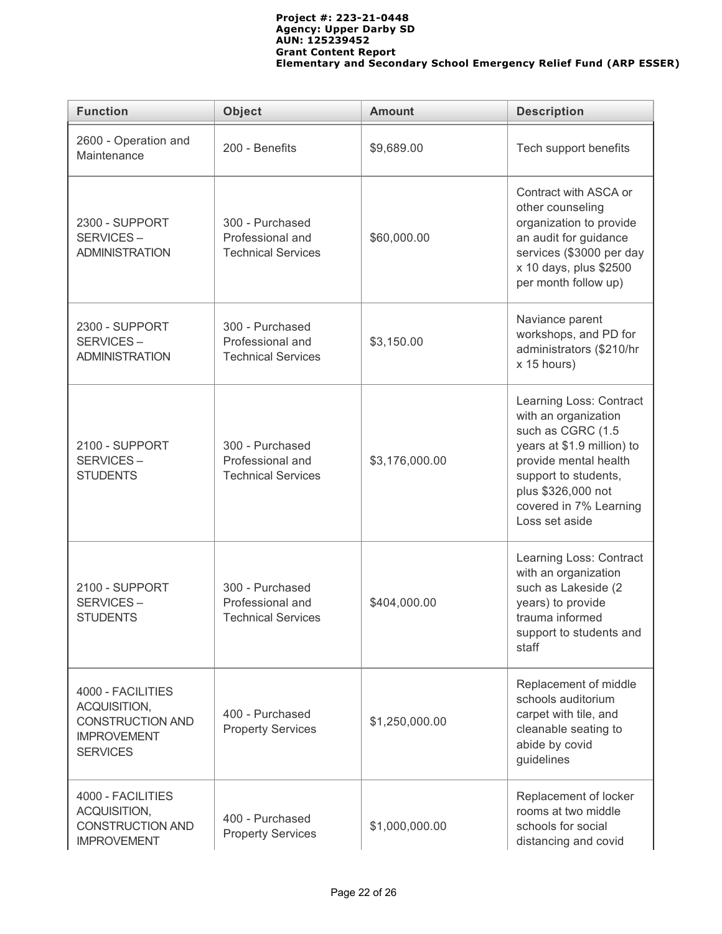| <b>Function</b>                                                                                       | Object<br><b>Amount</b>                                          |                                                                                     | <b>Description</b>                                                                                                                                                                                                    |  |
|-------------------------------------------------------------------------------------------------------|------------------------------------------------------------------|-------------------------------------------------------------------------------------|-----------------------------------------------------------------------------------------------------------------------------------------------------------------------------------------------------------------------|--|
| 2600 - Operation and<br>Maintenance                                                                   | 200 - Benefits                                                   | \$9,689.00                                                                          | Tech support benefits                                                                                                                                                                                                 |  |
| <b>2300 - SUPPORT</b><br>SERVICES-<br><b>ADMINISTRATION</b>                                           | 300 - Purchased<br>Professional and<br><b>Technical Services</b> | \$60,000.00                                                                         | Contract with ASCA or<br>other counseling<br>organization to provide<br>an audit for guidance<br>services (\$3000 per day<br>x 10 days, plus \$2500<br>per month follow up)                                           |  |
| 2300 - SUPPORT<br>SERVICES-<br><b>ADMINISTRATION</b>                                                  | 300 - Purchased<br>Professional and<br><b>Technical Services</b> | Naviance parent<br>workshops, and PD for<br>administrators (\$210/hr<br>x 15 hours) |                                                                                                                                                                                                                       |  |
| 2100 - SUPPORT<br>SERVICES-<br><b>STUDENTS</b>                                                        | 300 - Purchased<br>Professional and<br><b>Technical Services</b> | \$3,176,000.00                                                                      | Learning Loss: Contract<br>with an organization<br>such as CGRC (1.5<br>years at \$1.9 million) to<br>provide mental health<br>support to students,<br>plus \$326,000 not<br>covered in 7% Learning<br>Loss set aside |  |
| 2100 - SUPPORT<br>SERVICES-<br><b>STUDENTS</b>                                                        | 300 - Purchased<br>Professional and<br><b>Technical Services</b> | \$404,000.00                                                                        | Learning Loss: Contract<br>with an organization<br>such as Lakeside (2<br>years) to provide<br>trauma informed<br>support to students and<br>staff                                                                    |  |
| 4000 - FACILITIES<br>ACQUISITION,<br><b>CONSTRUCTION AND</b><br><b>IMPROVEMENT</b><br><b>SERVICES</b> | 400 - Purchased<br><b>Property Services</b>                      | \$1,250,000.00                                                                      | Replacement of middle<br>schools auditorium<br>carpet with tile, and<br>cleanable seating to<br>abide by covid<br>guidelines                                                                                          |  |
| 4000 - FACILITIES<br>ACQUISITION,<br>CONSTRUCTION AND<br><b>IMPROVEMENT</b>                           | 400 - Purchased<br><b>Property Services</b>                      | \$1,000,000.00                                                                      | Replacement of locker<br>rooms at two middle<br>schools for social<br>distancing and covid                                                                                                                            |  |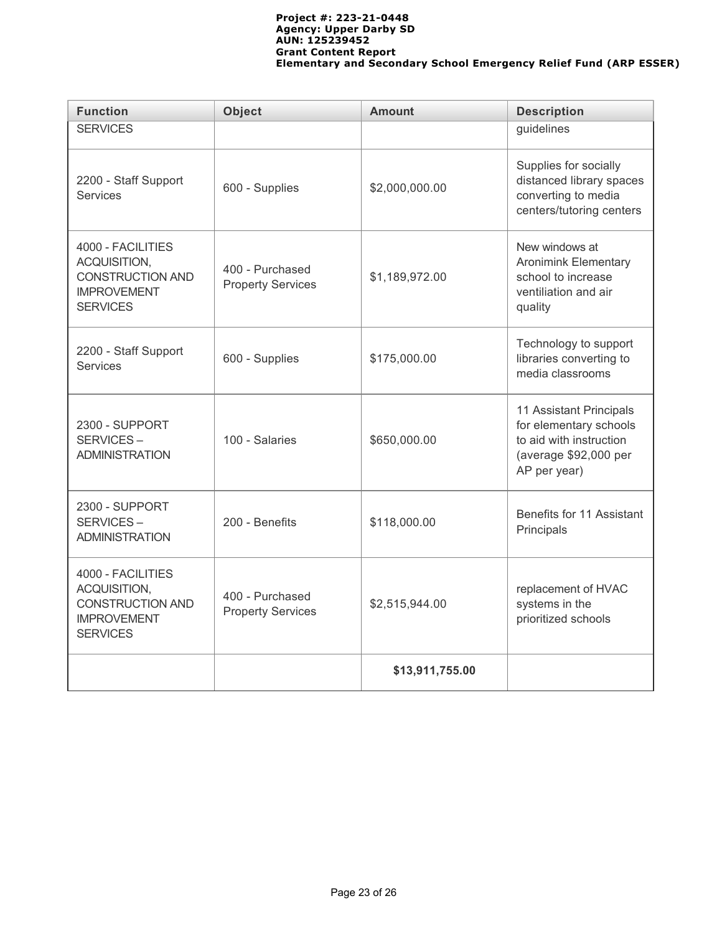| <b>Function</b>                                                                                       | <b>Object</b>                               | <b>Amount</b>   | <b>Description</b>                                                                                                    |  |  |
|-------------------------------------------------------------------------------------------------------|---------------------------------------------|-----------------|-----------------------------------------------------------------------------------------------------------------------|--|--|
| <b>SERVICES</b>                                                                                       |                                             |                 | guidelines                                                                                                            |  |  |
| 2200 - Staff Support<br><b>Services</b>                                                               | 600 - Supplies                              | \$2,000,000.00  | Supplies for socially<br>distanced library spaces<br>converting to media<br>centers/tutoring centers                  |  |  |
| 4000 - FACILITIES<br>ACQUISITION,<br><b>CONSTRUCTION AND</b><br><b>IMPROVEMENT</b><br><b>SERVICES</b> | 400 - Purchased<br><b>Property Services</b> | \$1,189,972.00  | New windows at<br><b>Aronimink Elementary</b><br>school to increase<br>ventiliation and air<br>quality                |  |  |
| 2200 - Staff Support<br><b>Services</b>                                                               | 600 - Supplies                              | \$175,000.00    | Technology to support<br>libraries converting to<br>media classrooms                                                  |  |  |
| 2300 - SUPPORT<br>SERVICES-<br><b>ADMINISTRATION</b>                                                  | 100 - Salaries                              | \$650,000.00    | 11 Assistant Principals<br>for elementary schools<br>to aid with instruction<br>(average \$92,000 per<br>AP per year) |  |  |
| 2300 - SUPPORT<br>SERVICES-<br><b>ADMINISTRATION</b>                                                  | 200 - Benefits                              | \$118,000.00    | Benefits for 11 Assistant<br>Principals                                                                               |  |  |
| 4000 - FACILITIES<br>ACQUISITION,<br><b>CONSTRUCTION AND</b><br><b>IMPROVEMENT</b><br><b>SERVICES</b> | 400 - Purchased<br><b>Property Services</b> | \$2,515,944.00  | replacement of HVAC<br>systems in the<br>prioritized schools                                                          |  |  |
|                                                                                                       |                                             | \$13,911,755.00 |                                                                                                                       |  |  |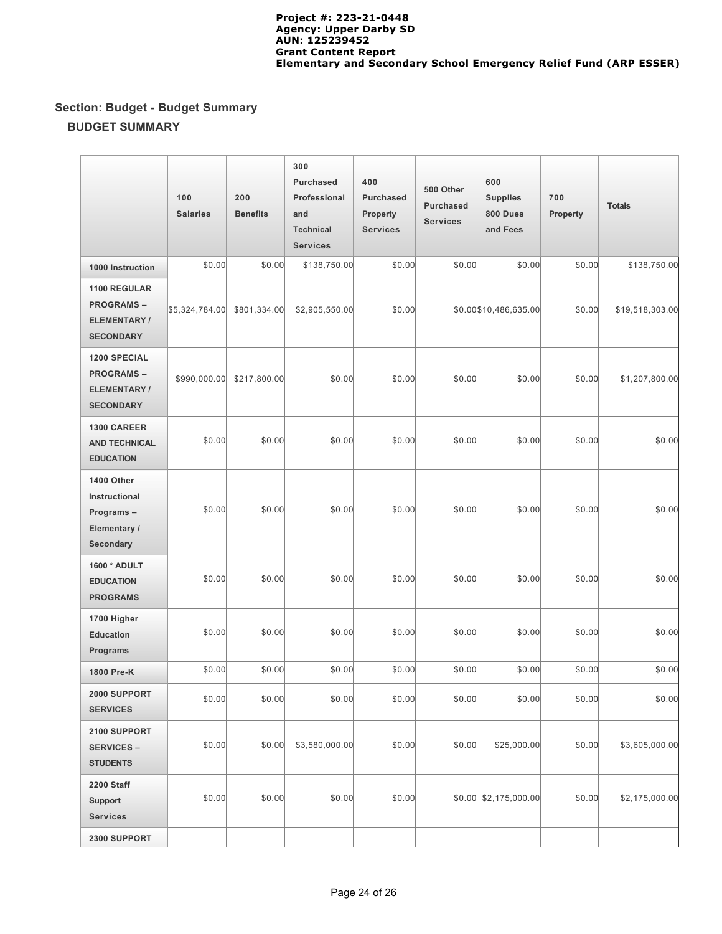# **Section: Budget - Budget Summary BUDGET SUMMARY**

|                                                                             | 100<br><b>Salaries</b> | 200<br><b>Benefits</b> | 300<br><b>Purchased</b><br>Professional<br>and<br><b>Technical</b><br><b>Services</b> | 400<br>Purchased<br>Property<br><b>Services</b> | 500 Other<br><b>Purchased</b><br><b>Services</b> | 600<br><b>Supplies</b><br>800 Dues<br>and Fees | 700<br><b>Property</b> | <b>Totals</b>   |
|-----------------------------------------------------------------------------|------------------------|------------------------|---------------------------------------------------------------------------------------|-------------------------------------------------|--------------------------------------------------|------------------------------------------------|------------------------|-----------------|
| 1000 Instruction                                                            | \$0.00                 | \$0.00                 | \$138,750.00                                                                          | \$0.00                                          | \$0.00                                           | \$0.00                                         | \$0.00                 | \$138,750.00    |
| 1100 REGULAR<br><b>PROGRAMS-</b><br>ELEMENTARY /<br><b>SECONDARY</b>        | \$5,324,784.00         | \$801,334.00           | \$2,905,550.00                                                                        | \$0.00                                          |                                                  | \$0.00 \$10,486,635.00                         | \$0.00                 | \$19,518,303.00 |
| <b>1200 SPECIAL</b><br><b>PROGRAMS-</b><br>ELEMENTARY /<br><b>SECONDARY</b> | \$990,000.00           | \$217,800.00           | \$0.00                                                                                | \$0.00                                          | \$0.00                                           | \$0.00                                         | \$0.00                 | \$1,207,800.00  |
| 1300 CAREER<br><b>AND TECHNICAL</b><br><b>EDUCATION</b>                     | \$0.00                 | \$0.00                 | \$0.00                                                                                | \$0.00                                          | \$0.00                                           | \$0.00                                         | \$0.00                 | \$0.00          |
| 1400 Other<br>Instructional<br>Programs-<br>Elementary /<br>Secondary       | \$0.00                 | \$0.00                 | \$0.00                                                                                | \$0.00                                          | \$0.00                                           | \$0.00                                         | \$0.00                 | \$0.00          |
| 1600 * ADULT<br><b>EDUCATION</b><br><b>PROGRAMS</b>                         | \$0.00                 | \$0.00                 | \$0.00                                                                                | \$0.00                                          | \$0.00                                           | \$0.00                                         | \$0.00                 | \$0.00          |
| 1700 Higher<br><b>Education</b><br>Programs                                 | \$0.00                 | \$0.00                 | \$0.00                                                                                | \$0.00                                          | \$0.00                                           | \$0.00                                         | \$0.00                 | \$0.00          |
| 1800 Pre-K                                                                  | \$0.00                 | \$0.00                 | \$0.00                                                                                | \$0.00                                          | \$0.00                                           | \$0.00                                         | \$0.00                 | \$0.00          |
| 2000 SUPPORT<br><b>SERVICES</b>                                             | \$0.00                 | \$0.00                 | \$0.00                                                                                | \$0.00                                          | \$0.00                                           | \$0.00                                         | \$0.00                 | \$0.00          |
| 2100 SUPPORT<br><b>SERVICES –</b><br><b>STUDENTS</b>                        | \$0.00                 | \$0.00                 | \$3,580,000.00                                                                        | \$0.00                                          | \$0.00                                           | \$25,000.00                                    | \$0.00                 | \$3,605,000.00  |
| <b>2200 Staff</b><br>Support<br><b>Services</b>                             | \$0.00                 | \$0.00                 | \$0.00                                                                                | \$0.00                                          |                                                  | $$0.00 \$2, 175, 000.00$                       | \$0.00                 | \$2,175,000.00  |
| 2300 SUPPORT                                                                |                        |                        |                                                                                       |                                                 |                                                  |                                                |                        |                 |